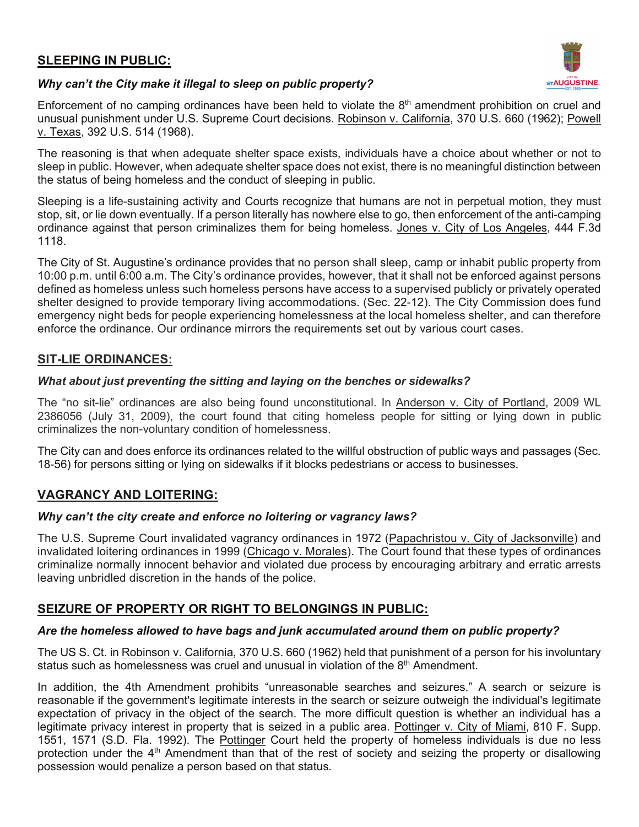# **SLEEPING IN PUBLIC:**



### *Why can't the City make it illegal to sleep on public property?*

Enforcement of no camping ordinances have been held to violate the 8<sup>th</sup> amendment prohibition on cruel and unusual punishment under U.S. Supreme Court decisions. Robinson v. California, 370 U.S. 660 (1962); Powell v. Texas, 392 U.S. 514 (1968).

The reasoning is that when adequate shelter space exists, individuals have a choice about whether or not to sleep in public. However, when adequate shelter space does not exist, there is no meaningful distinction between the status of being homeless and the conduct of sleeping in public.

Sleeping is a life-sustaining activity and Courts recognize that humans are not in perpetual motion, they must stop, sit, or lie down eventually. If a person literally has nowhere else to go, then enforcement of the anti-camping ordinance against that person criminalizes them for being homeless. Jones v. City of Los Angeles, 444 F.3d 1118.

The City of St. Augustine's ordinance provides that no person shall sleep, camp or inhabit public property from 10:00 p.m. until 6:00 a.m. The City's ordinance provides, however, that it shall not be enforced against persons defined as homeless unless such homeless persons have access to a supervised publicly or privately operated shelter designed to provide temporary living accommodations. (Sec. 22-12). The City Commission does fund emergency night beds for people experiencing homelessness at the local homeless shelter, and can therefore enforce the ordinance. Our ordinance mirrors the requirements set out by various court cases.

### **SIT-LIE ORDINANCES:**

### *What about just preventing the sitting and laying on the benches or sidewalks?*

The "no sit-lie" ordinances are also being found unconstitutional. In Anderson v. City of Portland, 2009 WL 2386056 (July 31, 2009), the court found that citing homeless people for sitting or lying down in public criminalizes the non-voluntary condition of homelessness.

The City can and does enforce its ordinances related to the willful obstruction of public ways and passages (Sec. 18-56) for persons sitting or lying on sidewalks if it blocks pedestrians or access to businesses.

## **VAGRANCY AND LOITERING:**

### *Why can't the city create and enforce no loitering or vagrancy laws?*

The U.S. Supreme Court invalidated vagrancy ordinances in 1972 (Papachristou v. City of Jacksonville) and invalidated loitering ordinances in 1999 (Chicago v. Morales). The Court found that these types of ordinances criminalize normally innocent behavior and violated due process by encouraging arbitrary and erratic arrests leaving unbridled discretion in the hands of the police.

## **SEIZURE OF PROPERTY OR RIGHT TO BELONGINGS IN PUBLIC:**

### *Are the homeless allowed to have bags and junk accumulated around them on public property?*

The US S. Ct. in Robinson v. California, 370 U.S. 660 (1962) held that punishment of a person for his involuntary status such as homelessness was cruel and unusual in violation of the  $8<sup>th</sup>$  Amendment.

In addition, the 4th Amendment prohibits "unreasonable searches and seizures." A search or seizure is reasonable if the government's legitimate interests in the search or seizure outweigh the individual's legitimate expectation of privacy in the object of the search. The more difficult question is whether an individual has a legitimate privacy interest in property that is seized in a public area. Pottinger v. City of Miami, 810 F. Supp. 1551, 1571 (S.D. Fla. 1992). The Pottinger Court held the property of homeless individuals is due no less protection under the 4<sup>th</sup> Amendment than that of the rest of society and seizing the property or disallowing possession would penalize a person based on that status.